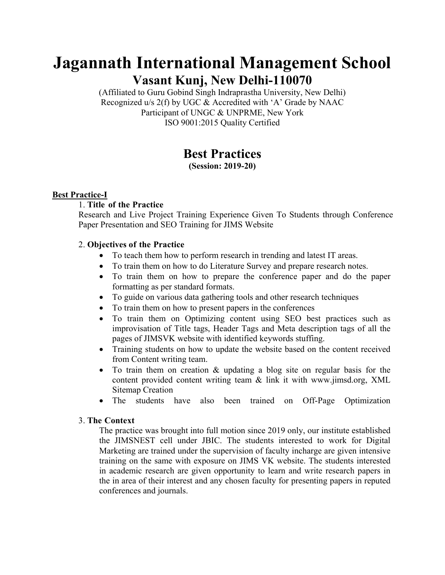# **Jagannath International Management School Vasant Kunj, New Delhi-110070**

(Affiliated to Guru Gobind Singh Indraprastha University, New Delhi) Recognized u/s 2(f) by UGC & Accredited with 'A' Grade by NAAC Participant of UNGC & UNPRME, New York ISO 9001:2015 Quality Certified

# **Best Practices**

**(Session: 2019-20)** 

# **Best Practice-I**

# 1. **Title of the Practice**

Research and Live Project Training Experience Given To Students through Conference Paper Presentation and SEO Training for JIMS Website

# 2. **Objectives of the Practice**

- To teach them how to perform research in trending and latest IT areas.
- To train them on how to do Literature Survey and prepare research notes.
- To train them on how to prepare the conference paper and do the paper formatting as per standard formats.
- To guide on various data gathering tools and other research techniques
- To train them on how to present papers in the conferences
- To train them on Optimizing content using SEO best practices such as improvisation of Title tags, Header Tags and Meta description tags of all the pages of JIMSVK website with identified keywords stuffing.
- Training students on how to update the website based on the content received from Content writing team.
- To train them on creation & updating a blog site on regular basis for the content provided content writing team & link it with www.jimsd.org, XML Sitemap Creation
- The students have also been trained on Off-Page Optimization

#### 3. **The Context**

The practice was brought into full motion since 2019 only, our institute established the JIMSNEST cell under JBIC. The students interested to work for Digital Marketing are trained under the supervision of faculty incharge are given intensive training on the same with exposure on JIMS VK website. The students interested in academic research are given opportunity to learn and write research papers in the in area of their interest and any chosen faculty for presenting papers in reputed conferences and journals.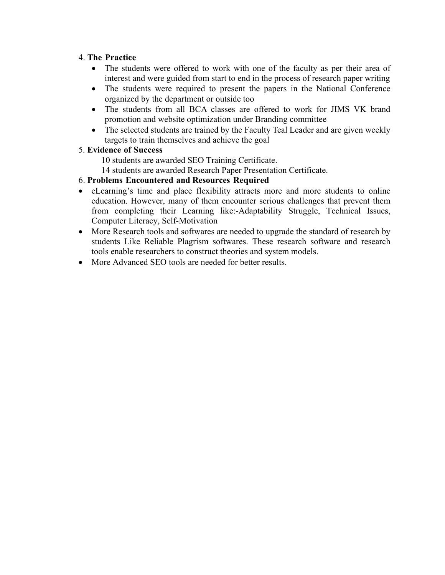## 4. **The Practice**

- The students were offered to work with one of the faculty as per their area of interest and were guided from start to end in the process of research paper writing
- The students were required to present the papers in the National Conference organized by the department or outside too
- The students from all BCA classes are offered to work for JIMS VK brand promotion and website optimization under Branding committee
- The selected students are trained by the Faculty Teal Leader and are given weekly targets to train themselves and achieve the goal

#### 5. **Evidence of Success**

- 10 students are awarded SEO Training Certificate.
- 14 students are awarded Research Paper Presentation Certificate.

#### 6. **Problems Encountered and Resources Required**

- eLearning's time and place flexibility attracts more and more students to online education. However, many of them encounter serious challenges that prevent them from completing their Learning like:-Adaptability Struggle, Technical Issues, Computer Literacy, Self-Motivation
- More Research tools and softwares are needed to upgrade the standard of research by students Like Reliable Plagrism softwares. These research software and research tools enable researchers to construct theories and system models.
- More Advanced SEO tools are needed for better results.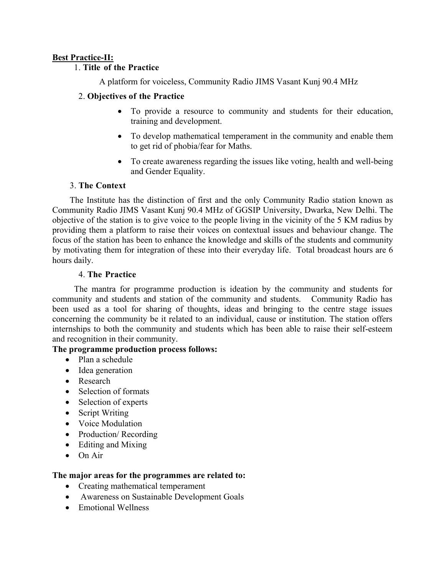# **Best Practice-II:**

# 1. **Title of the Practice**

A platform for voiceless, Community Radio JIMS Vasant Kunj 90.4 MHz

# 2. **Objectives of the Practice**

- To provide a resource to community and students for their education, training and development.
- To develop mathematical temperament in the community and enable them to get rid of phobia/fear for Maths.
- To create awareness regarding the issues like voting, health and well-being and Gender Equality.

# 3. **The Context**

 The Institute has the distinction of first and the only Community Radio station known as Community Radio JIMS Vasant Kunj 90.4 MHz of GGSIP University, Dwarka, New Delhi. The objective of the station is to give voice to the people living in the vicinity of the 5 KM radius by providing them a platform to raise their voices on contextual issues and behaviour change. The focus of the station has been to enhance the knowledge and skills of the students and community by motivating them for integration of these into their everyday life. Total broadcast hours are 6 hours daily.

# 4. **The Practice**

 The mantra for programme production is ideation by the community and students for community and students and station of the community and students. Community Radio has been used as a tool for sharing of thoughts, ideas and bringing to the centre stage issues concerning the community be it related to an individual, cause or institution. The station offers internships to both the community and students which has been able to raise their self-esteem and recognition in their community.

# **The programme production process follows:**

- Plan a schedule
- Idea generation
- Research
- Selection of formats
- Selection of experts
- Script Writing
- Voice Modulation
- Production/ Recording
- Editing and Mixing
- On Air

# **The major areas for the programmes are related to:**

- Creating mathematical temperament
- Awareness on Sustainable Development Goals
- Emotional Wellness